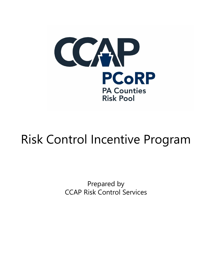

# Risk Control Incentive Program

Prepared by CCAP Risk Control Services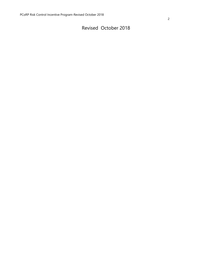# Revised October 2018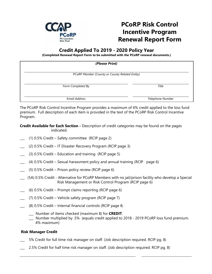

# **PCoRP Risk Control Incentive Program Renewal Report Form**

# **Credit Applied To 2019 - 2020 Policy Year**

**(Completed Renewal Report Form to be submitted with the PCoRP renewal documents.)**

| (Please Print)                                 |                  |
|------------------------------------------------|------------------|
| PCoRP Member (County or County Related Entity) |                  |
| Form Completed By                              | Title            |
| <b>Email Address</b>                           | Telephone Number |

The PCoRP Risk Control Incentive Program provides a maximum of 4% credit applied to the loss fund premium. Full description of each item is provided in the text of the PCoRP Risk Control Incentive Program.

**Credit Available for Each Section -** Description of credit categories may be found on the pages indicated.

- \_\_\_ (1) 0.5% Credit Safety committee (RCIP page 2)
- \_\_\_ (2) 0.5% Credit IT Disaster Recovery Program (RCIP page 3)
- $\Box$  (3) 0.5% Credit Education and training (RCIP page 5)
- $(4)$  0.5% Credit Sexual harassment policy and annual training (RCIP page 6)
- \_\_\_ (5) 0.5% Credit Prison policy review (RCIP page 6)
- \_\_\_ (5A) 0.5% Credit Alternative for PCoRP Members with no jail/prison facility who develop a Special Risk Management or Risk Control Program (RCIP page 6)
- $\sim$  (6) 0.5% Credit Prompt claims reporting (RCIP page 6)
- \_\_\_ (7) 0.5% Credit Vehicle safety program (RCIP page 7)
- $(8)$  0.5% Credit Internal financial controls (RCIP page 8)
	- \_\_\_ Number of items checked (maximum 8) for **CREDIT**.
	- \_**\_\_** Number multiplied by .5% (equals credit applied to 2018 2019 PCoRP loss fund premium. 4% maximum)

## **Risk Manager Credit**

- 5% Credit for full time risk manager on staff. (Job description required. RCIP pg. 8)
- \_\_\_ 2.5% Credit for half time risk manager on staff. (Job description required. RCIP pg. 8)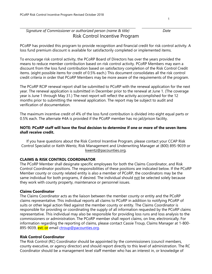# *Signature of Commissioner or authorized person (name & title) Date* Risk Control Incentive Program

PCoRP has provided this program to provide recognition and financial credit for risk control activity. A loss fund premium discount is available for satisfactorily completed or implemented items.

To encourage risk control activity, the PCoRP Board of Directors has over the years provided the means to reduce member contribution based on risk control activity. PCoRP Members may earn a discount from the loss fund contribution based on satisfactory completion of the Risk Control Credit items. (eight possible items for credit of 0.5% each.) This document consolidates all the risk control credit criteria in order that PCoRP Members may be more aware of the requirements of the program.

The PCoRP RCIP renewal report shall be submitted to PCoRP with the renewal application for the next year. The renewal application is submitted in December prior to the renewal at June 1. (The coverage year is June 1 through May 31.) The next report will reflect the activity accomplished for the 12 months prior to submitting the renewal application. The report may be subject to audit and verification of documentation.

The maximum incentive credit of 4% of the loss fund contribution is divided into eight equal parts or 0.5% each. The alternate #4A is provided if the PCoRP member has no jail/prison facility.

## **NOTE: PCoRP staff will have the final decision to determine if one or more of the seven items shall receive credit.**

If you have questions about the Risk Control Incentive Program, please contact your CCAP Risk Control Specialist or Keith Wentz, Risk Management and Underwriting Manager at (800) 895-9039 or [kwentz@pacounties.org.](mailto:kwentz@pacounties.org)

# **CLAIMS & RISK CONTROL COORDINATOR**

The PCoRP Member shall designate specific employees for both the Claims Coordinator, and Risk Control Coordinator positions. The responsibilities of these positions are indicated below. If the PCoRP Member county or county related entity is also a member of PCoRP, the coordinators may be the same individual for both programs, if desired. The individual should not be selected solely because they work with county property, maintenance or personnel issues.

## **Claims Coordinator**

The Claims Coordinator acts as the liaison between the member county or entity and the PCoRP claims representative. This individual reports all claims to PCoRP in addition to notifying PCoRP of suits or other legal action filed against the member county or entity. The Claims Coordinator is responsible for providing or coordinating the supply of all information requested by the PCoRP claims representative. This individual may also be responsible for providing loss runs and loss analysis to the commissioners or administration. The PCoRP member shall report claims, on line, electronically. For information regarding the reporting of claims, please contact Cassie Troup, Claims Manager at 1-800 895-9039, ext. or email [ctroup@pacounties.org.](mailto:ctroup@pacounties.org)

## **Risk Control Coordinator**

The Risk Control (RC) Coordinator should be appointed by the commissioners (council members, county executive, or agency director) and should report directly to this level of administration. The RC Coordinator should be a management level staff member who has an interest in, or knowledge of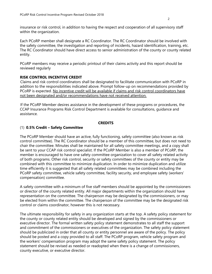insurance or risk control, in addition to having the respect and cooperation of all supervisory staff within the organization.

Each PCoRP member shall designate a RC Coordinator. The RC Coordinator should be involved with the safety committee, the investigation and reporting of incidents, hazard identification, training, etc. The RC Coordinator should have direct access to senior administration of the county or county related entity.

PCoRP members may receive a periodic printout of their claims activity and this report should be reviewed regularly

# **RISK CONTROL INCENTIVE CREDIT**

Claims and risk control coordinators shall be designated to facilitate communication with PCoRP in addition to the responsibilities indicated above. Prompt follow-up on recommendations provided by PCoRP is expected. No incentive credit will be available if claims and risk control coordinators have not been designated and/or recommendations have not received attention.

If the PCoRP Member desires assistance in the development of these programs or procedures, the CCAP Insurance Programs Risk Control Department is available for consultations, guidance and assistance.

# **CREDITS**

# (1) **0.5% Credit – Safety Committee**

The PCoRP Member should have an active, fully functioning, safety committee (also known as risk control committee). The RC Coordinator should be a member of this committee, but does not need to chair the committee. Minutes shall be maintained for all safety committee meetings, and a copy shall be sent to your CCAP risk control specialist. If the PCoRP Member is also a member of PCoRP, the member is encouraged to have one safety committee organization to cover all safety related activity of both programs. Other risk control, security or safety committees of the county or entity may be combined with this committee to minimize duplication. In order to minimize duplication and utilize time efficiently it is suggested that all safety related committees may be combined including the PCoRP safety committee, vehicle safety committee, facility security, and employee safety (workers' compensation) committee.

A safety committee with a minimum of five staff members should be appointed by the commissioners or director of the county related entity. All major departments within the organization should have representation on the committee. The chairperson may be designated by the commissioners, or may be elected from within the committee. The chairperson of the committee may be the designated risk control or claims coordinator, however this is not necessary.

The ultimate responsibility for safety in any organization starts at the top. A safety policy statement for the county or county related entity should be developed and signed by the commissioners or executive director. The formal written safety policy statement demonstrates to all staff the support and commitment of the commissioners or executives of the organization. The safety policy statement should be publicized in order that all county or entity personnel are aware of the policy. The policy should be posted and a copy provided to all staff. The PCoRP program, vehicle safety program and the workers' compensation program may adopt the same safety policy statement. The policy statement should be revised as needed or readopted when there is a change of commissioners, county executive, or executive director.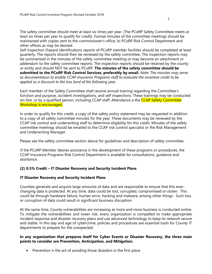The safety committee should meet at least six times per year. (The PCoRP Safety Committee meets at least six times per year to qualify for credit). Formal minutes of the committee meetings should be maintained with copies sent to the commissioner's office, to PCoRP Risk Control Department and other offices as may be desired.

Self inspection (hazard identification) reports of PCoRP member facilities should be completed at least quarterly. The reports should then be reviewed by the safety committee. The inspection reports may be summarized in the minutes of the safety committee meeting or may become an attachment or addendum to the safety committee reports. The inspection reports should be retained by the county or entity and should NOT be sent to PCoRP. **The minutes of the safety committee should be submitted to the PCoRP Risk Control Services, preferably by email.** *Note: The minutes may serve as documentation to enable CCAP Insurance Programs staff to evaluate the incentive credit to be applied as a discount to the loss fund of the following year.*

Each member of the Safety Committee shall receive annual training regarding the Committee's function and purpose, accident investigations, and self inspections. These trainings may be conducted on-line, or by a qualified person, including CCAP staff. Attendance a the CCAP Safety Committee Workshop is encouraged.

In order to qualify for this credit, a copy of the safety policy statement may be requested in addition to a copy of all safety committee minutes for the year. These documents may be reviewed by the CCAP risk control and underwriting staff to determine eligibility for this credit. Minutes of the safety committee meetings should be emailed to the CCAP risk control specialist or the Risk Management and Underwriting Manager.

Please see the safety committee section above for guidelines and description of safety committee.

If the PCoRP Member desires assistance in the development of these programs or procedures, the CCAP Insurance Programs Risk Control Department is available for consultations, guidance and assistance.

## **(2) 0.5% Credit – IT Disaster Recovery and Security Incident Plans**

#### **IT Disaster Recovery and Security Incident Plans**

Counties generate and acquire large amounts of data and are responsible to ensure that this everchanging data is protected. At any time, data could be lost, corrupted, compromised or stolen. This could be through hardware failure, human error, hacking and malware, among other things. Such loss or corruption of data could result in significant business disruption.

At the same time, County vulnerabilities are increasing as more and more business is conducted online. To mitigate the vulnerabilities and lower risk, every organization is compelled to make appropriate incident response and disaster recovery plans and use advanced technology to keep its network secure and stable. In this day and age of cybercrime, policies and procedures are essential tools for County IT departments to prepare for the unexpected.

#### **In any organization that prepares itself for Cyber Events or Disaster Recovery, the three main points to consider are Prevention, Anticipation, and Mitigation.**

• Prevention is the act of avoiding those disasters in the first place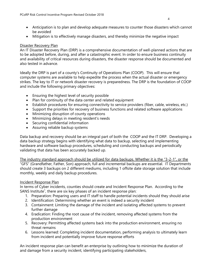• Mitigation is to effectively manage disasters, and thereby minimize the negative impact

# Disaster Recovery Plan

An IT Disaster Recovery Plan (DRP) is a comprehensive documentation of well-planned actions that are to be adopted before, during, and after a catastrophic event. In order to ensure business continuity and availability of critical resources during disasters, the disaster response should be documented and also tested in advance.

Ideally the DRP is part of a county's Continuity of Operations Plan (COOP). This will ensure that computer systems are available to help expedite the process when the actual disaster or emergency strikes. The key to IT or network disaster recovery is preparedness. The DRP is the foundation of COOP and include the following primary objectives:

- Ensuring the highest level of security possible
- Plan for continuity of the data center and related equipment
- Establish procedures for ensuring connectivity to service providers (fiber, cable, wireless, etc.)
- Support the priorities for recovery of business functions and related software applications
- Minimizing disruption of county operations
- Minimizing delays in meeting resident's needs
- Securing confidential information
- Assuring reliable backup systems

Data backup and recovery should be an integral part of both the COOP and the IT DRP. Developing a data backup strategy begins with identifying what data to backup, selecting and implementing hardware and software backup procedures, scheduling and conducting backups and periodically validating that data has been accurately backed up.

The industry standard approach should be utilized for data backups. Whether it is the "3-2-1", or the "GFS" (Grandfather, Father, Son) approach, full and incremental backups are essential. IT Departments should create 3 backups on 2 different mediums, including 1 offsite date storage solution that include monthly, weekly and daily backup procedures.

# Incident Response Plan

In terms of Cyber incidents, counties should create and Incident Response Plan. According to the SANS Institute<sup>1</sup>, there are six key phases of an incident response plan:

- 1. Preparation: Preparing users and IT staff to handle potential incidents should they should arise
- 2. Identification: Determining whether an event is indeed a security incident
- 3. Containment: Limiting the damage of the incident and isolating affected systems to prevent further damage
- 4. Eradication: Finding the root cause of the incident, removing affected systems from the production environment
- 5. Recovery: Permitting affected systems back into the production environment, ensuring no threat remains
- 6. Lessons learned: Completing incident documentation, performing analysis to ultimately learn from incident and potentially improve future response efforts

An incident response plan can benefit an enterprise by outlining how to minimize the duration of and damage from a security incident, identifying participating stakeholders,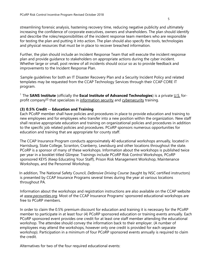streamlining [forensic](http://whatis.techtarget.com/definition/forensic) analysis, hastening [recovery](http://searchstorage.techtarget.com/definition/recovery) time, reducing negative publicity and ultimately increasing the confidence of corporate executives, owners and shareholders. The plan should identify and describe the roles/responsibilities of the incident response team members who are responsible for testing the plan and putting it into action. The plan should also specify the tools, technologies and physical resources that must be in place to recover breached information.

Further, the plan should include an Incident Response Team that will execute the incident response plan and provide guidance to stakeholders on appropriate actions during the cyber incident. Whether large or small, post review of all incidents should occur so as to provide feedback and improvements to the Incident Response Plan.

Sample guidelines for both an IT Disaster Recovery Plan and a Security Incident Policy and related templates may be requested from the CCAP Technology Services through their CCAP CORE IT program.

<sup>1</sup> The **SANS Institute** (officially the **Escal Institute of Advanced Technologies**) is a private [U.S.](https://en.wikipedia.org/wiki/United_States) for-profit company<sup>[\[2\]](https://en.wikipedia.org/wiki/SANS_Institute#cite_note-2)</sup> that specializes in [information security](https://en.wikipedia.org/wiki/Information_security) and [cybersecurity](https://en.wikipedia.org/wiki/Cybersecurity) training.

## **(3) 0.5% Credit -- Education and Training**

Each PCoRP member shall have policies and procedures in place to provide education and training to new employees and for employees who transfer into a new position within the organization. New staff shall receive appropriate education and training on organizational policies and procedures in addition to the specific job related policies and procedures. PCoRP sponsors numerous opportunities for education and training that are appropriate for county staff.

The CCAP Insurance Program conducts approximately 40 educational workshops annually, located in Harrisburg, State College, Scranton, Cranberry, Lewisburg and other locations throughout the state. PCoRP is a sponsor of many of these workshops. Information about the workshops is published twice per year in a booklet titled *Glimpse.* Trainings include PCoRP Risk Control Workshops, PCoRP sponsored KEYS (Keep Educating Your Staff), Prison Risk Management Workshop, Maintenance Workshops, and the Personnel Workshop.

In addition, The National Safety Council, *Defensive Driving Course* (taught by NSC certified instructors) is presented by CCAP Insurance Programs several times during the year at various locations throughout PA.

Information about the workshops and registration instructions are also available on the CCAP website at *[www.pacounties.org.](http://www.pacounties.org/)* Most of the CCAP Insurance Programs' sponsored educational workshops are free to PCoRP members.

In order to claim the 0.5% premium discount for education and training it is necessary for the PCoRP member to participate in at least four (4) PCoRP sponsored education or training events annually. Each PCoRP sponsored event provides one credit for at least one staff member attending the educational workshop. The attendee should convey the information back to their employer. (A number of employees may attend the workshops, however only one credit is provided for each separate workshop). Participation in a minimum of four PCoRP sponsored events annually is required to claim the credit.

Alternatives for two of the four required educational events: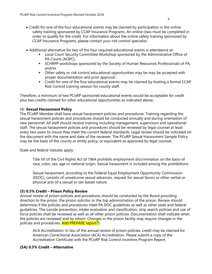- Credit for one of the four educational events may be claimed by participation in the online safety training sponsored by CCAP Insurance Programs. An online class must be completed in order to qualify for the credit. For information about the online safety training sponsored by CCAP Insurance Programs, please contact your risk control specialist.
- Additional alternative for two of the four required educational events is attendance at:
	- Local Court Security Committee Workshop sponsored by the Administrative Office of PA Courts (AOPC),
	- **EXPLEMS 15 SCHRPP workshops sponsored by the Society of Human Resources Professionals of PA,** and/or
	- Other safety or risk control educational opportunities may be may be accepted with proper documentation and prior approval.
	- **•** Credit for one of the four educational events may be claimed by hosting a formal CCAP Risk Control training session for county staff.

Therefore, a minimum of two PCoRP sponsored educational events would be acceptable for credit plus two credits claimed for other educational opportunities as indicated above.

# (4) **Sexual Harassment Policy**

The PCoRP Member shall have sexual harassment policies and procedures. Training regarding the sexual harassment policies and procedures should be conducted annually and during orientation of new personnel. All staff should receive training including management, supervisors and operational staff. The sexual harassment policies and procedures should be reviewed by legal counsel at least every two years to insure they meet the current federal standards. Legal review should be indicated on the document with the name and date of the reviewer. The PCoRP Sexual Harassment Sample Policy may be the basis of the county or entity policy, or equivalent as approved by legal counsel.

State and federal statutes apply:

Title VII of the Civil Rights Act of 1964 prohibits employment discrimination on the basis of race, color, sex, age or national origin. Sexual harassment is included among the prohibitions.

Sexual harassment, according to the Federal Equal Employment Opportunity Commission (EEOC), consists of unwelcome sexual advances, request for sexual favors or other verbal or physical acts of a sexual or sex based nature.

# **(5) 0.5% Credit – Prison Policy Review**

Annual review of prison policies and procedures should be conducted by the Board providing direction to the prison, the prison solicitor or the top administration of the prison. Review should determine if the policies and procedures meet PA DOC guidelines as well as other state and federal guidelines. The suicide prevention, intake evaluation and classification, strip search policies and use of force policies shall be reviewed as well as all other prison policies. Documentation shall indicate when the policies are reviewed and by whom. Changes in the prison facility may require changes in the policies and procedures. Add PREPARE report??

ACA Accreditation: In lieu of the annual review of prison policies, credit may be claimed for American Correctional Association (ACA) Accreditation. Please submit a copy of the Accreditation Certificate with the PCoRP Risk Control Incentive Program Report.

# **(5A) 0.5% Credit – Alternative**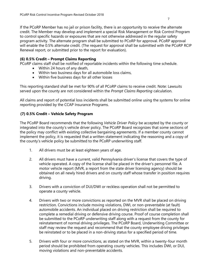7

If the PCoRP Member has no jail or prison facility, there is an opportunity to receive the alternate credit. The Member may develop and implement a special Risk Management or Risk Control Program to control specific hazards or exposures that are not otherwise addressed in the regular safety program activity. The alternate program shall be submitted to PCoRP for approval. PCoRP approval will enable the 0.5% alternate credit. (The request for approval shall be submitted with the PCoRP RCIP Renewal report*,* or submitted prior to the report for evaluation).

# **(6) 0.5% Credit – Prompt Claims Reporting**

PCoRP claims staff shall be notified of reportable incidents within the following time schedule.

- Within 24 hours of any death,
- Within two business days for all automobile loss claims,
- Within five business days for all other losses

This reporting standard shall be met for 90% of all PCoRP claims to receive credit. Note: Lawsuits served upon the county are not considered within the *Prompt Claims Reporting* calculation.

All claims and report of potential loss incidents shall be submitted online using the systems for online reporting provided by the CCAP Insurance Programs.

# **(7) 0.5% Credit – Vehicle Safety Program**

The PCoRP Board recommends that the following *Vehicle Driver Policy* be accepted by the county or integrated into the county's vehicle driver policy. The PCoRP Board recognizes that some sections of the policy may conflict with existing collective bargaining agreements. If a member county cannot implement the policy, it is requested that a written statement indicating the reasoning and a copy of the county's vehicle policy be submitted to the PCoRP underwriting staff.

- 1. All drivers must be at least eighteen years of age.
- 2. All drivers must have a current, valid Pennsylvania driver's license that covers the type of vehicle operated. A copy of the license shall be placed in the driver's personnel file. A motor vehicle report (MVR, a report from the state driver licensing agency) should be obtained on all newly hired drivers and on county staff whose transfer in position requires driving.
- 3. Drivers with a conviction of DUI/DWI or reckless operation shall not be permitted to operate a county vehicle.
- 4. Drivers with two or more convictions as reported on the MVR shall be placed on driving restriction. Convictions include moving violations, DWI, or non-preventable (at fault) automobile accidents. An individual placed on driving restriction shall be required to complete a remedial driving or defensive driving course. Proof of course completion shall be submitted to the PCoRP underwriting staff along with a request from the county for reinstatement of normal driving privileges. The PCoRP Board, Underwriting Committee or staff may review the request and recommend that the county employee driving privileges be reinstated or to be placed in a non-driving status for a specified period of time.
- 5. Drivers with four or more convictions, as stated on the MVR, within a twenty-four month period should be prohibited from operating county vehicles. This includes DWI, or DUI, moving violations and non-preventable accidents.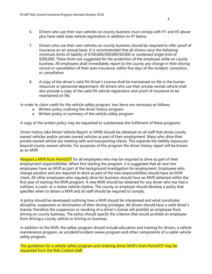- 6. Drivers who use their own vehicles on county business must comply with #1 and #2 above plus have valid state vehicle registration in addition to #7 below.
- 7. Drivers who use their own vehicles on county business should be required to offer proof of insurance on an annual basis. It is recommended that all drivers carry the following minimum limits of liability of \$100,000/300,000/50,000 or combined single limit of \$300,000. These limits are suggested for the protection of the employee while on county business. All employees shall immediately report to the county any change in their driving record or cancellation of their auto insurance, within five days of the incident, conviction, or cancellation
- 8. A copy of the driver's valid PA Driver's License shall be maintained on file in the human resources or personnel department. All drivers who use their private owned vehicle shall also provide a copy of the valid PA vehicle registration and proof of insurance to be maintained on file.

In order to claim credit for the vehicle safety program, two items are necessary as follows:

- Written policy outlining the driver history program
- Written policy or summary of the vehicle safety program

A copy of the written policy may be requested to substantiate the fulfillment of these programs.

Driver history (aka Motor Vehicle Report or MVR) should be obtained on all staff that drives county owned vehicles and/or private owned vehicles as part of their employment. Many who drive their private owned vehicle are meeting with and transporting clients. This expands the liability exposures beyond county owned vehicles. For purposes of this program the driver history report will be known as an MVR.

Request a MVR from PennDOT for all employees who may be required to drive as part of their employment responsibilities. When first starting the program, it is suggested that all new hire employees have an MVR as part of the background investigation for employment. Employees who change position and are required to drive as part of the new responsibilities should have an MVR check. All other employees who regularly drive for business should have an MVR obtained within the first year of starting the MVR program. A new MVR should be obtained for any driver who has had a collision, a crash, or a motor vehicle citation. The county or employer should develop a policy that specifies when to obtain a MVR and all staff should be required to comply.

A policy should be developed outlining how a MVR should be interpreted and what constitutes discipline, suspension or termination of their driving privileges. All drivers should have a valid driver's license; therefore the suspension or revoking of a driver's license will prohibit an employee from driving on county business. The policy should specify the criterion that would prohibit an employee from driving a county vehicle or driving on business.

In addition to the MVR, the safety program should include education and training for drivers, a vehicle maintenance program, an accident/incident review program and other components of a viable vehicle safety program.

The guidelines for a vehicle safety program and ordering driver MVR's from PennDOT may be requested from the Risk Control staff.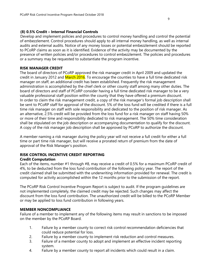#### **(8) 0.5% Credit – Internal Financial Controls**

Develop and implement policies and procedures to control money handling and control the potential of embezzlement. Control procedures should apply to all internal money handling, as well as internal audits and external audits. Notice of any money losses or potential embezzlement should be reported to PCoRP claims as soon as it is identified. Evidence of the activity may be documented by the presence of written policies and/or procedures to control embezzlement. The policies and procedures or a summary may be requested to substantiate the program incentive.

## **RISK MANAGER CREDIT**

The board of directors of PCoRP approved the risk manager credit in April 2009 and updated the credit in January 2012 and March 2016. To encourage the counties to have a full time dedicated risk manager on staff, an additional credit has been established. Frequently the risk management administration is accomplished by the chief clerk or other county staff among many other duties. The board of directors and staff of PCoRP consider having a full time dedicated risk manager to be a very valuable professional staff position within the county that they have offered a premium discount. In order to claim the risk management credit, a copy of the risk manager's formal job description shall be sent to PCoRP staff for approval of the discount. 5% of the loss fund will be credited if there is a full time risk manager on staff with sole responsibility and dedicated to the position of risk manager. As an alternative, 2.5% credit will be provided from the loss fund for a risk manager on staff having 50% or more of their time and responsibility dedicated to risk management. The 50% time consideration shall be stipulated on the job description or accompanying documentation to qualify for the discount. A copy of the risk manager job description shall be approved by PCoRP to authorize the discount.

A member naming a risk manager during the policy year will not receive a full credit for either a full time or part time risk manager, but will receive a prorated return of premium from the date of approval of the Risk Manager's position.

# **RISK CONTROL INCENTIVE CREDIT REPORTING**

#### **Credit Computation**

Each of the items, number #1 through #8, may receive a credit of 0.5% for a maximum PCoRP credit of 4%, to be deducted from the loss fund contribution of the following policy year. The report of the credit claimed shall be submitted with the underwriting information provided for renewal. The credit is computed for activity accomplished within the 12 months prior to the submission of the report.

The PCoRP Risk Control Incentive Program Report is subject to audit. If the program guidelines are not implemented completely, the claimed credit may be rejected. Such changes may affect the discount from the loss fund contribution. The unauthorized credit will be billed to the PCoRP Member or may be applied to loss fund contribution in following years.

## **MEMBER NONCOMPLIANCE**

Failure of a member to implement any of the following items may result in sanctions to be imposed on the member by the PCoRP Board.

- 1. Failure by a member county to correct risk control recommendation deficiencies that could reduce potential for loss.
- 2. Failure by a member county to implement risk reduction and control measures.
- 3. Failure of a member county to adopt and implement an effective incident reporting system.
- 4. Failure by a member county to report all incidents which could result in a claim.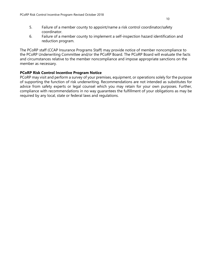6. Failure of a member county to implement a self-inspection hazard identification and reduction program.

The PCoRP staff (CCAP Insurance Programs Staff) may provide notice of member noncompliance to the PCoRP Underwriting Committee and/or the PCoRP Board. The PCoRP Board will evaluate the facts and circumstances relative to the member noncompliance and impose appropriate sanctions on the member as necessary.

## **PCoRP Risk Control Incentive Program Notice**

PCoRP may visit and perform a survey of your premises, equipment, or operations solely for the purpose of supporting the function of risk underwriting. Recommendations are not intended as substitutes for advice from safety experts or legal counsel which you may retain for your own purposes. Further, compliance with recommendations in no way guarantees the fulfillment of your obligations as may be required by any local, state or federal laws and regulations.